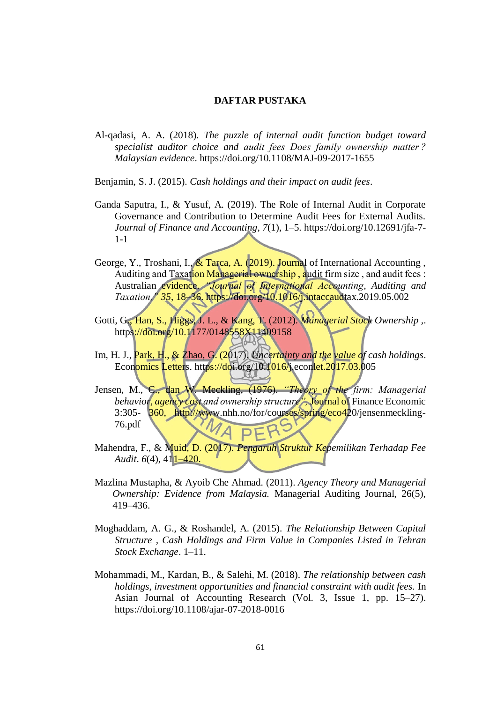## **DAFTAR PUSTAKA**

Al-qadasi, A. A. (2018). *The puzzle of internal audit function budget toward specialist auditor choice and audit fees Does family ownership matter ? Malaysian evidence*.<https://doi.org/10.1108/MAJ-09-2017-1655>

Benjamin, S. J. (2015). *Cash holdings and their impact on audit fees*.

- Ganda Saputra, I., & Yusuf, A. (2019). The Role of Internal Audit in Corporate Governance and Contribution to Determine Audit Fees for External Audits. *Journal of Finance and Accounting*, *7*(1), 1–5. https://doi.org/10.12691/jfa-7- 1-1
- George, Y., Troshani, I., & Tarca, A. (2019). Journal of International Accounting, Auditing and Taxation Managerial ownership , audit firm size , and audit fees : Australian evidence. *"Journal of International Accounting, Auditing and Taxation," 35*, 18–36. https://doi.org/10.1016/j.intaccaudtax.2019.05.002
- Gotti, G., Han, S., Higgs, J. L., & Kang, T. (2012). *Managerial Stock Ownership ,*. <https://doi.org/10.1177/0148558X11409158>
- Im, H. J., Park, H., & Zhao, G. (2017). *Uncertainty and the value of cash holdings*. Economics Letters. https://doi.org/10.1016/j.econlet.2017.03.005
- Jensen, M., C., dan W. Meckling, (1976). *"Theory of the firm: Managerial behavior, agency cost and ownership structure",* Journal of Finance Economic 3:305- 360, http://www.nhh.no/for/courses/spring/eco420/jensenmeckling-76.pdf
- Mahendra, F., & Muid, D. (2017). *Pengaruh Struktur Kepemilikan Terhadap Fee Audit.*  $6(4)$ ,  $411-420$ .
- Mazlina Mustapha, & Ayoib Che Ahmad. (2011). *Agency Theory and Managerial Ownership: Evidence from Malaysia.* Managerial Auditing Journal, 26(5), 419–436.
- Moghaddam, A. G., & Roshandel, A. (2015). *The Relationship Between Capital Structure , Cash Holdings and Firm Value in Companies Listed in Tehran Stock Exchange*. 1–11.
- Mohammadi, M., Kardan, B., & Salehi, M. (2018). *The relationship between cash holdings, investment opportunities and financial constraint with audit fees.* In Asian Journal of Accounting Research (Vol. 3, Issue 1, pp. 15–27). https://doi.org/10.1108/ajar-07-2018-0016